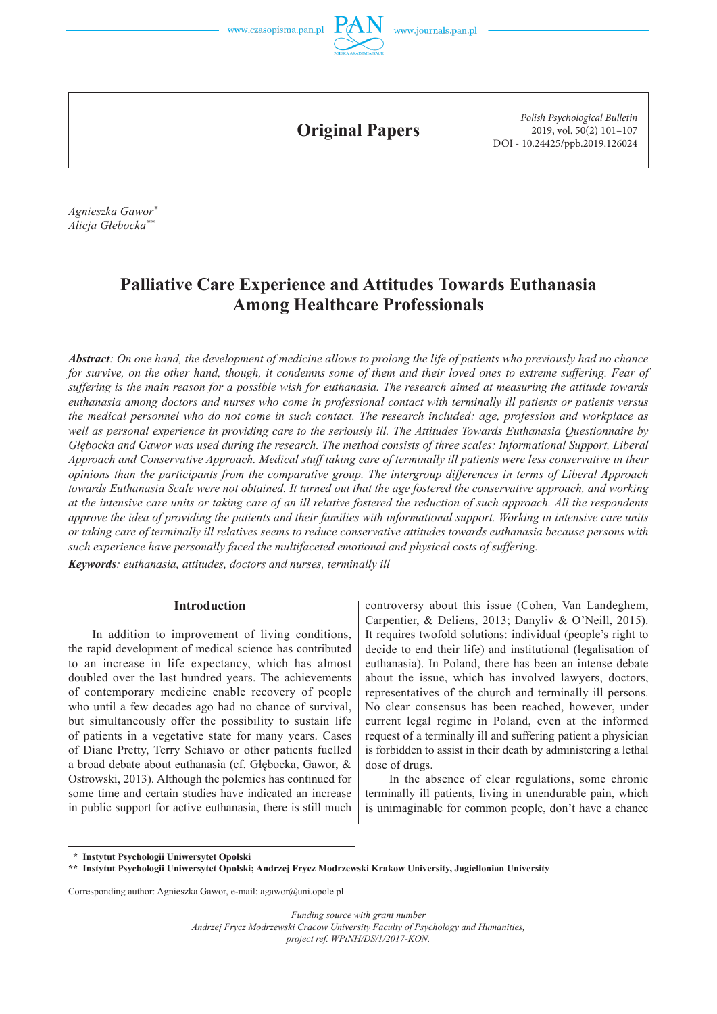



**Original Papers**

*Polish Psychological Bulletin* 2019, vol. 50(2) 101–107 DOI - 10.24425/ppb.2019.126024

*Agnieszka Gawor\* Alicja Głebocka\*\**

# **Palliative Care Experience and Attitudes Towards Euthanasia Among Healthcare Professionals**

*Abstract: On one hand, the development of medicine allows to prolong the life of patients who previously had no chance*  for survive, on the other hand, though, it condemns some of them and their loved ones to extreme suffering. Fear of *suffering is the main reason for a possible wish for euthanasia. The research aimed at measuring the attitude towards euthanasia among doctors and nurses who come in professional contact with terminally ill patients or patients versus the medical personnel who do not come in such contact. The research included: age, profession and workplace as well as personal experience in providing care to the seriously ill. The Attitudes Towards Euthanasia Questionnaire by Głębocka and Gawor was used during the research. The method consists of three scales: Informational Support, Liberal Approach and Conservative Approach. Medical stuff taking care of terminally ill patients were less conservative in their opinions than the participants from the comparative group. The intergroup differences in terms of Liberal Approach towards Euthanasia Scale were not obtained. It turned out that the age fostered the conservative approach, and working at the intensive care units or taking care of an ill relative fostered the reduction of such approach. All the respondents approve the idea of providing the patients and their families with informational support. Working in intensive care units or taking care of terminally ill relatives seems to reduce conservative attitudes towards euthanasia because persons with such experience have personally faced the multifaceted emotional and physical costs of suffering.*

*Keywords: euthanasia, attitudes, doctors and nurses, terminally ill*

#### **Introduction**

In addition to improvement of living conditions, the rapid development of medical science has contributed to an increase in life expectancy, which has almost doubled over the last hundred years. The achievements of contemporary medicine enable recovery of people who until a few decades ago had no chance of survival, but simultaneously offer the possibility to sustain life of patients in a vegetative state for many years. Cases of Diane Pretty, Terry Schiavo or other patients fuelled a broad debate about euthanasia (cf. Głębocka, Gawor, & Ostrowski, 2013). Although the polemics has continued for some time and certain studies have indicated an increase in public support for active euthanasia, there is still much

controversy about this issue (Cohen, Van Landeghem, Carpentier, & Deliens, 2013; Danyliv & O'Neill, 2015). It requires twofold solutions: individual (people's right to decide to end their life) and institutional (legalisation of euthanasia). In Poland, there has been an intense debate about the issue, which has involved lawyers, doctors, representatives of the church and terminally ill persons. No clear consensus has been reached, however, under current legal regime in Poland, even at the informed request of a terminally ill and suffering patient a physician is forbidden to assist in their death by administering a lethal dose of drugs.

In the absence of clear regulations, some chronic terminally ill patients, living in unendurable pain, which is unimaginable for common people, don't have a chance

 **\* Instytut Psychologii Uniwersytet Opolski**

Corresponding author: Agnieszka Gawor, e-mail: agawor@uni.opole.pl

*Funding source with grant number Andrzej Frycz Modrzewski Cracow University Faculty of Psychology and Humanities, project ref. WPiNH/DS/1/2017-KON.*

**<sup>\*\*</sup> Instytut Psychologii Uniwersytet Opolski; Andrzej Frycz Modrzewski Krakow University, Jagiellonian University**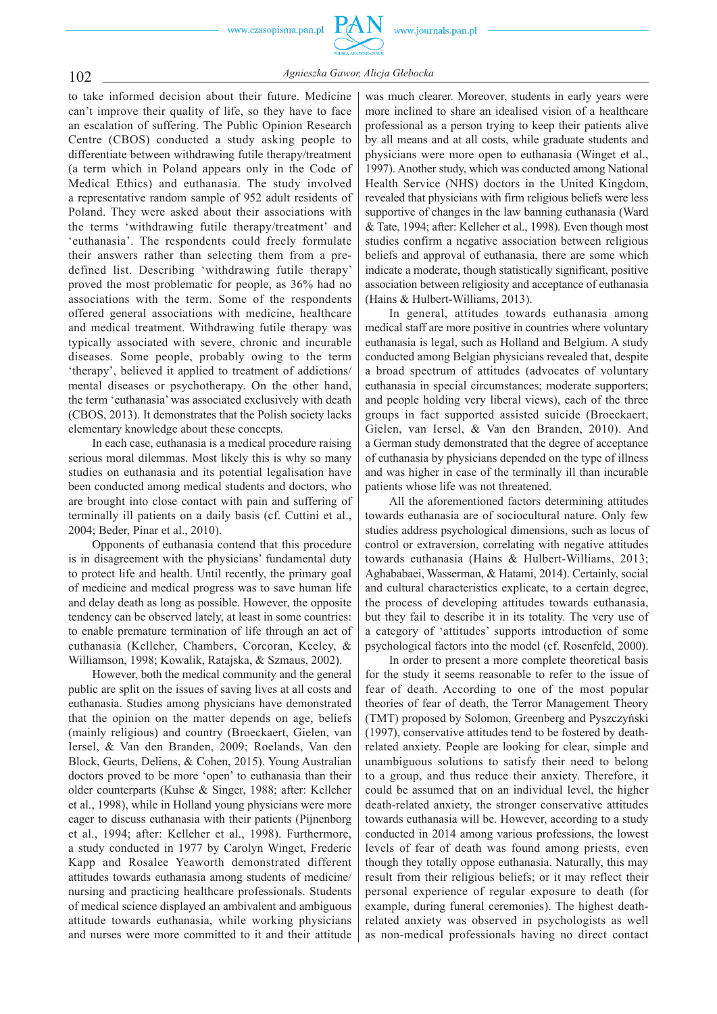

# 102 *Agnieszka Gawor, Alicja Głebocka*

to take informed decision about their future. Medicine can't improve their quality of life, so they have to face an escalation of suffering. The Public Opinion Research Centre (CBOS) conducted a study asking people to differentiate between withdrawing futile therapy/treatment (a term which in Poland appears only in the Code of Medical Ethics) and euthanasia. The study involved a representative random sample of 952 adult residents of Poland. They were asked about their associations with the terms 'withdrawing futile therapy/treatment' and 'euthanasia'. The respondents could freely formulate their answers rather than selecting them from a predefined list. Describing 'withdrawing futile therapy' proved the most problematic for people, as 36% had no associations with the term. Some of the respondents offered general associations with medicine, healthcare and medical treatment. Withdrawing futile therapy was typically associated with severe, chronic and incurable diseases. Some people, probably owing to the term 'therapy', believed it applied to treatment of addictions/ mental diseases or psychotherapy. On the other hand, the term 'euthanasia' was associated exclusively with death (CBOS, 2013). It demonstrates that the Polish society lacks elementary knowledge about these concepts.

In each case, euthanasia is a medical procedure raising serious moral dilemmas. Most likely this is why so many studies on euthanasia and its potential legalisation have been conducted among medical students and doctors, who are brought into close contact with pain and suffering of terminally ill patients on a daily basis (cf. Cuttini et al., 2004; Beder, Pinar et al., 2010).

Opponents of euthanasia contend that this procedure is in disagreement with the physicians' fundamental duty to protect life and health. Until recently, the primary goal of medicine and medical progress was to save human life and delay death as long as possible. However, the opposite tendency can be observed lately, at least in some countries: to enable premature termination of life through an act of euthanasia (Kelleher, Chambers, Corcoran, Keeley, & Williamson, 1998; Kowalik, Ratajska, & Szmaus, 2002).

However, both the medical community and the general public are split on the issues of saving lives at all costs and euthanasia. Studies among physicians have demonstrated that the opinion on the matter depends on age, beliefs (mainly religious) and country (Broeckaert, Gielen, van Iersel, & Van den Branden, 2009; Roelands, Van den Block, Geurts, Deliens, & Cohen, 2015). Young Australian doctors proved to be more 'open' to euthanasia than their older counterparts (Kuhse & Singer, 1988; after: Kelleher et al., 1998), while in Holland young physicians were more eager to discuss euthanasia with their patients (Pijnenborg et al., 1994; after: Kelleher et al., 1998). Furthermore, a study conducted in 1977 by Carolyn Winget, Frederic Kapp and Rosalee Yeaworth demonstrated different attitudes towards euthanasia among students of medicine/ nursing and practicing healthcare professionals. Students of medical science displayed an ambivalent and ambiguous attitude towards euthanasia, while working physicians and nurses were more committed to it and their attitude

was much clearer. Moreover, students in early years were more inclined to share an idealised vision of a healthcare professional as a person trying to keep their patients alive by all means and at all costs, while graduate students and physicians were more open to euthanasia (Winget et al., 1997). Another study, which was conducted among National Health Service (NHS) doctors in the United Kingdom, revealed that physicians with firm religious beliefs were less supportive of changes in the law banning euthanasia (Ward & Tate, 1994; after: Kelleher et al., 1998). Even though most studies confirm a negative association between religious beliefs and approval of euthanasia, there are some which indicate a moderate, though statistically significant, positive association between religiosity and acceptance of euthanasia (Hains & Hulbert-Williams, 2013).

In general, attitudes towards euthanasia among medical staff are more positive in countries where voluntary euthanasia is legal, such as Holland and Belgium. A study conducted among Belgian physicians revealed that, despite a broad spectrum of attitudes (advocates of voluntary euthanasia in special circumstances; moderate supporters; and people holding very liberal views), each of the three groups in fact supported assisted suicide (Broeckaert, Gielen, van Iersel, & Van den Branden, 2010). And a German study demonstrated that the degree of acceptance of euthanasia by physicians depended on the type of illness and was higher in case of the terminally ill than incurable patients whose life was not threatened.

All the aforementioned factors determining attitudes towards euthanasia are of sociocultural nature. Only few studies address psychological dimensions, such as locus of control or extraversion, correlating with negative attitudes towards euthanasia (Hains & Hulbert-Williams, 2013; Aghababaei, Wasserman, & Hatami, 2014). Certainly, social and cultural characteristics explicate, to a certain degree, the process of developing attitudes towards euthanasia, but they fail to describe it in its totality. The very use of a category of 'attitudes' supports introduction of some psychological factors into the model (cf. Rosenfeld, 2000).

In order to present a more complete theoretical basis for the study it seems reasonable to refer to the issue of fear of death. According to one of the most popular theories of fear of death, the Terror Management Theory (TMT) proposed by Solomon, Greenberg and Pyszczyński (1997), conservative attitudes tend to be fostered by deathrelated anxiety. People are looking for clear, simple and unambiguous solutions to satisfy their need to belong to a group, and thus reduce their anxiety. Therefore, it could be assumed that on an individual level, the higher death-related anxiety, the stronger conservative attitudes towards euthanasia will be. However, according to a study conducted in 2014 among various professions, the lowest levels of fear of death was found among priests, even though they totally oppose euthanasia. Naturally, this may result from their religious beliefs; or it may reflect their personal experience of regular exposure to death (for example, during funeral ceremonies). The highest deathrelated anxiety was observed in psychologists as well as non-medical professionals having no direct contact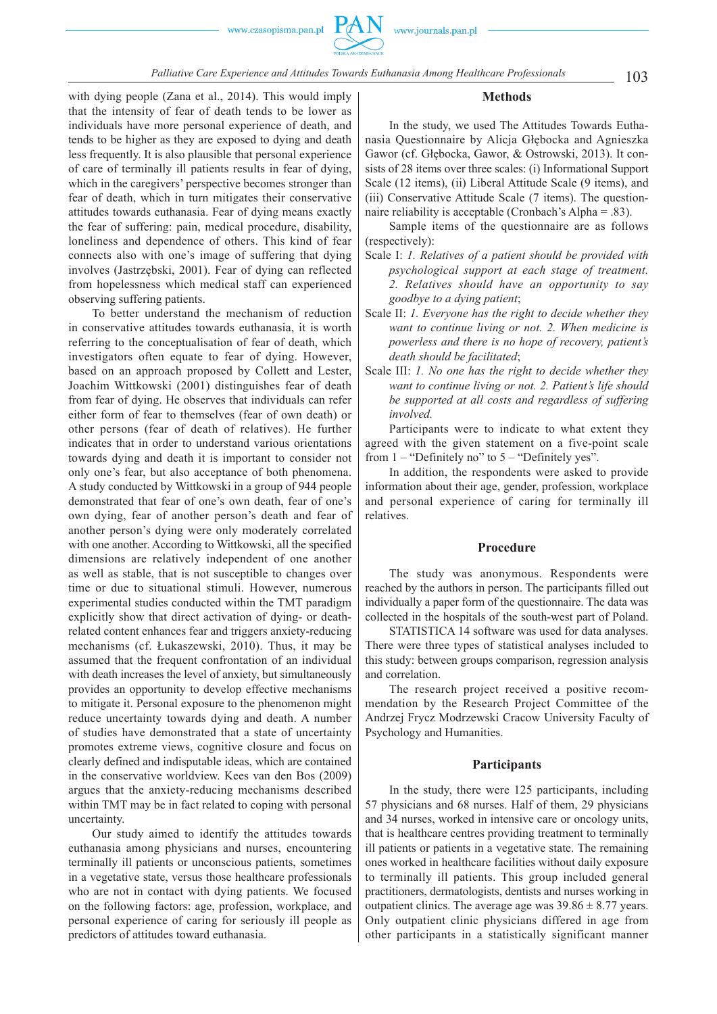

103 *Palliative Care Experience and Attitudes Towards Euthanasia Among Healthcare Professionals*

**Methods**

In the study, we used The Attitudes Towards Euthanasia Questionnaire by Alicja Głębocka and Agnieszka Gawor (cf. Głębocka, Gawor, & Ostrowski, 2013). It consists of 28 items over three scales: (i) Informational Support Scale (12 items), (ii) Liberal Attitude Scale (9 items), and (iii) Conservative Attitude Scale (7 items). The questionnaire reliability is acceptable (Cronbach's Alpha = .83).

Sample items of the questionnaire are as follows (respectively):

- Scale I: *1. Relatives of a patient should be provided with psychological support at each stage of treatment. 2. Relatives should have an opportunity to say goodbye to a dying patient*;
- Scale II: *1. Everyone has the right to decide whether they want to continue living or not. 2. When medicine is powerless and there is no hope of recovery, patient's death should be facilitated*;
- Scale III: *1. No one has the right to decide whether they want to continue living or not. 2. Patient's life should be supported at all costs and regardless of suffering involved.*

Participants were to indicate to what extent they agreed with the given statement on a five-point scale from  $1 -$  "Definitely no" to  $5 -$  "Definitely yes".

In addition, the respondents were asked to provide information about their age, gender, profession, workplace and personal experience of caring for terminally ill relatives.

## **Procedure**

The study was anonymous. Respondents were reached by the authors in person. The participants filled out individually a paper form of the questionnaire. The data was collected in the hospitals of the south-west part of Poland.

STATISTICA 14 software was used for data analyses. There were three types of statistical analyses included to this study: between groups comparison, regression analysis and correlation.

The research project received a positive recommendation by the Research Project Committee of the Andrzej Frycz Modrzewski Cracow University Faculty of Psychology and Humanities.

### **Participants**

In the study, there were 125 participants, including 57 physicians and 68 nurses. Half of them, 29 physicians and 34 nurses, worked in intensive care or oncology units, that is healthcare centres providing treatment to terminally ill patients or patients in a vegetative state. The remaining ones worked in healthcare facilities without daily exposure to terminally ill patients. This group included general practitioners, dermatologists, dentists and nurses working in outpatient clinics. The average age was  $39.86 \pm 8.77$  years. Only outpatient clinic physicians differed in age from other participants in a statistically significant manner

with dying people (Zana et al., 2014). This would imply that the intensity of fear of death tends to be lower as individuals have more personal experience of death, and tends to be higher as they are exposed to dying and death less frequently. It is also plausible that personal experience of care of terminally ill patients results in fear of dying, which in the caregivers' perspective becomes stronger than fear of death, which in turn mitigates their conservative attitudes towards euthanasia. Fear of dying means exactly the fear of suffering: pain, medical procedure, disability, loneliness and dependence of others. This kind of fear connects also with one's image of suffering that dying involves (Jastrzębski, 2001). Fear of dying can reflected from hopelessness which medical staff can experienced observing suffering patients.

To better understand the mechanism of reduction in conservative attitudes towards euthanasia, it is worth referring to the conceptualisation of fear of death, which investigators often equate to fear of dying. However, based on an approach proposed by Collett and Lester, Joachim Wittkowski (2001) distinguishes fear of death from fear of dying. He observes that individuals can refer either form of fear to themselves (fear of own death) or other persons (fear of death of relatives). He further indicates that in order to understand various orientations towards dying and death it is important to consider not only one's fear, but also acceptance of both phenomena. A study conducted by Wittkowski in a group of 944 people demonstrated that fear of one's own death, fear of one's own dying, fear of another person's death and fear of another person's dying were only moderately correlated with one another. According to Wittkowski, all the specified dimensions are relatively independent of one another as well as stable, that is not susceptible to changes over time or due to situational stimuli. However, numerous experimental studies conducted within the TMT paradigm explicitly show that direct activation of dying- or deathrelated content enhances fear and triggers anxiety-reducing mechanisms (cf. Łukaszewski, 2010). Thus, it may be assumed that the frequent confrontation of an individual with death increases the level of anxiety, but simultaneously provides an opportunity to develop effective mechanisms to mitigate it. Personal exposure to the phenomenon might reduce uncertainty towards dying and death. A number of studies have demonstrated that a state of uncertainty promotes extreme views, cognitive closure and focus on clearly defined and indisputable ideas, which are contained in the conservative worldview. Kees van den Bos (2009) argues that the anxiety-reducing mechanisms described within TMT may be in fact related to coping with personal uncertainty.

Our study aimed to identify the attitudes towards euthanasia among physicians and nurses, encountering terminally ill patients or unconscious patients, sometimes in a vegetative state, versus those healthcare professionals who are not in contact with dying patients. We focused on the following factors: age, profession, workplace, and personal experience of caring for seriously ill people as predictors of attitudes toward euthanasia.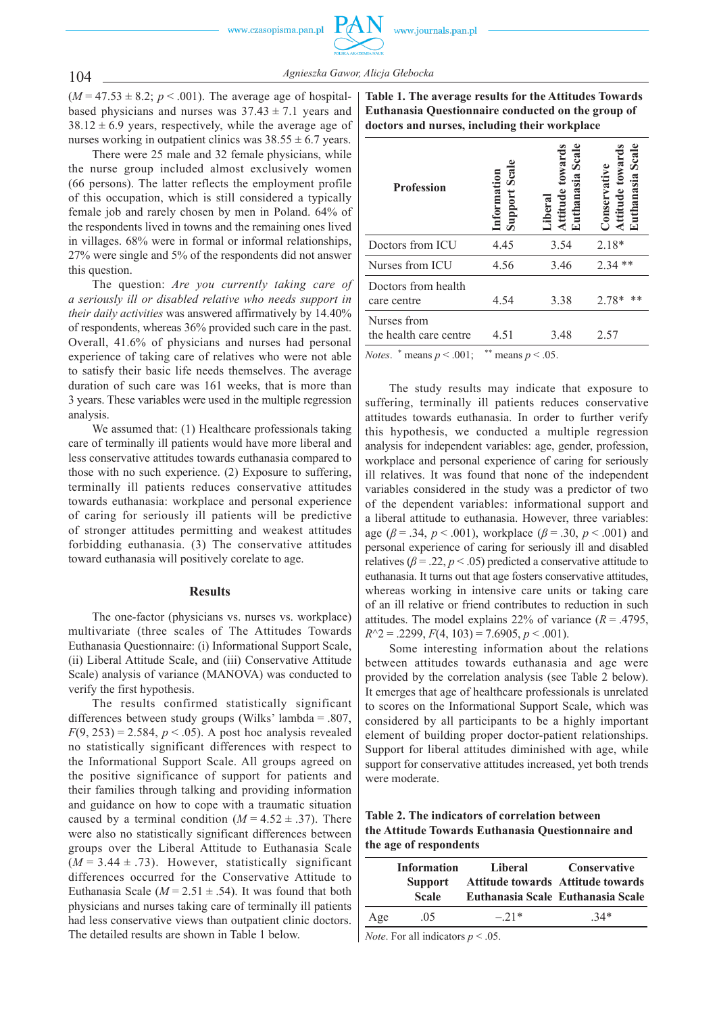104 *Agnieszka Gawor, Alicja Głebocka*

 $(M = 47.53 \pm 8.2; p < .001)$ . The average age of hospitalbased physicians and nurses was  $37.43 \pm 7.1$  years and  $38.12 \pm 6.9$  years, respectively, while the average age of nurses working in outpatient clinics was  $38.55 \pm 6.7$  years.

There were 25 male and 32 female physicians, while the nurse group included almost exclusively women (66 persons). The latter reflects the employment profile of this occupation, which is still considered a typically female job and rarely chosen by men in Poland. 64% of the respondents lived in towns and the remaining ones lived in villages. 68% were in formal or informal relationships, 27% were single and 5% of the respondents did not answer this question.

The question: *Are you currently taking care of a seriously ill or disabled relative who needs support in their daily activities* was answered affirmatively by 14.40% of respondents, whereas 36% provided such care in the past. Overall, 41.6% of physicians and nurses had personal experience of taking care of relatives who were not able to satisfy their basic life needs themselves. The average duration of such care was 161 weeks, that is more than 3 years. These variables were used in the multiple regression analysis.

We assumed that: (1) Healthcare professionals taking care of terminally ill patients would have more liberal and less conservative attitudes towards euthanasia compared to those with no such experience. (2) Exposure to suffering, terminally ill patients reduces conservative attitudes towards euthanasia: workplace and personal experience of caring for seriously ill patients will be predictive of stronger attitudes permitting and weakest attitudes forbidding euthanasia. (3) The conservative attitudes toward euthanasia will positively corelate to age.

#### **Results**

The one-factor (physicians vs. nurses vs. workplace) multivariate (three scales of The Attitudes Towards Euthanasia Questionnaire: (i) Informational Support Scale, (ii) Liberal Attitude Scale, and (iii) Conservative Attitude Scale) analysis of variance (MANOVA) was conducted to verify the first hypothesis.

The results confirmed statistically significant differences between study groups (Wilks' lambda = .807,  $F(9, 253) = 2.584$ ,  $p < .05$ ). A post hoc analysis revealed no statistically significant differences with respect to the Informational Support Scale. All groups agreed on the positive significance of support for patients and their families through talking and providing information and guidance on how to cope with a traumatic situation caused by a terminal condition  $(M = 4.52 \pm .37)$ . There were also no statistically significant differences between groups over the Liberal Attitude to Euthanasia Scale  $(M = 3.44 \pm .73)$ . However, statistically significant differences occurred for the Conservative Attitude to Euthanasia Scale ( $M = 2.51 \pm .54$ ). It was found that both physicians and nurses taking care of terminally ill patients had less conservative views than outpatient clinic doctors. The detailed results are shown in Table 1 below.

**Table 1. The average results for the Attitudes Towards Euthanasia Questionnaire conducted on the group of doctors and nurses, including their workplace**

| <b>Profession</b>                     | <b>Support Scal</b><br>nformation | hanasia Scale<br>towards<br>ttitude<br><i>i</i> lbera | <b>Scale</b><br><b>uthanasia</b><br>Jonservativ |
|---------------------------------------|-----------------------------------|-------------------------------------------------------|-------------------------------------------------|
| Doctors from ICU                      | 4.45                              | 3.54                                                  | $2.18*$                                         |
| Nurses from ICU                       | 4.56                              | 3.46                                                  | **<br>2.34                                      |
| Doctors from health<br>care centre    | 4.54                              | 3.38                                                  | 2.78*                                           |
| Nurses from<br>the health care centre | 4.51                              | 3.48                                                  | 2.57                                            |
| <i>Notes.</i> * means $p < .001$ ;    | ** means $p < .05$ .              |                                                       |                                                 |

The study results may indicate that exposure to suffering, terminally ill patients reduces conservative attitudes towards euthanasia. In order to further verify this hypothesis, we conducted a multiple regression analysis for independent variables: age, gender, profession, workplace and personal experience of caring for seriously ill relatives. It was found that none of the independent variables considered in the study was a predictor of two of the dependent variables: informational support and a liberal attitude to euthanasia. However, three variables: age ( $\beta$  = .34,  $p$  < .001), workplace ( $\beta$  = .30,  $p$  < .001) and personal experience of caring for seriously ill and disabled relatives ( $\beta$  = .22,  $p$  < .05) predicted a conservative attitude to euthanasia. It turns out that age fosters conservative attitudes, whereas working in intensive care units or taking care of an ill relative or friend contributes to reduction in such attitudes. The model explains 22% of variance  $(R = .4795,$ *R*^2 = .2299, *F*(4, 103) = 7.6905, *p* < .001).

Some interesting information about the relations between attitudes towards euthanasia and age were provided by the correlation analysis (see Table 2 below). It emerges that age of healthcare professionals is unrelated to scores on the Informational Support Scale, which was considered by all participants to be a highly important element of building proper doctor-patient relationships. Support for liberal attitudes diminished with age, while support for conservative attitudes increased, yet both trends were moderate.

**Table 2. The indicators of correlation between the Attitude Towards Euthanasia Questionnaire and the age of respondents**

|     | <b>Information</b><br><b>Support</b><br><b>Scale</b> | Liberal | <b>Conservative</b><br><b>Attitude towards Attitude towards</b><br>Euthanasia Scale Euthanasia Scale |
|-----|------------------------------------------------------|---------|------------------------------------------------------------------------------------------------------|
| Age | 0.5                                                  | $-21*$  | $34*$                                                                                                |

*Note*. For all indicators *p* < .05.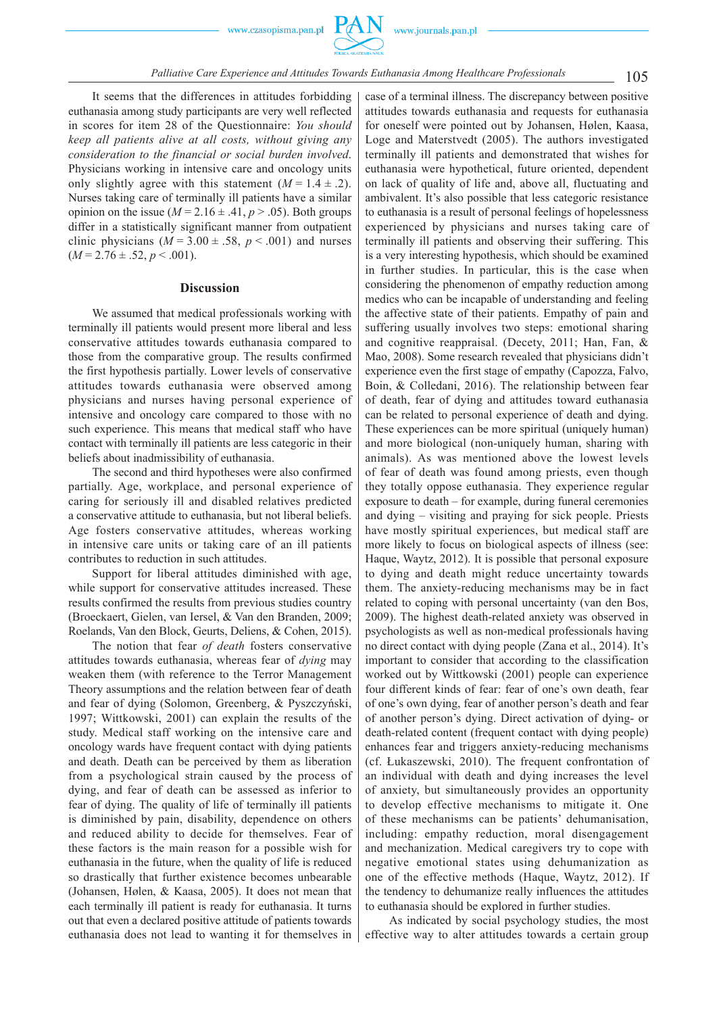

It seems that the differences in attitudes forbidding euthanasia among study participants are very well reflected in scores for item 28 of the Questionnaire: *You should keep all patients alive at all costs, without giving any consideration to the financial or social burden involved*. Physicians working in intensive care and oncology units only slightly agree with this statement  $(M = 1.4 \pm .2)$ . Nurses taking care of terminally ill patients have a similar opinion on the issue ( $M = 2.16 \pm .41$ ,  $p > .05$ ). Both groups differ in a statistically significant manner from outpatient clinic physicians  $(M = 3.00 \pm .58, p < .001)$  and nurses  $(M = 2.76 \pm .52, p < .001)$ .

#### **Discussion**

We assumed that medical professionals working with terminally ill patients would present more liberal and less conservative attitudes towards euthanasia compared to those from the comparative group. The results confirmed the first hypothesis partially. Lower levels of conservative attitudes towards euthanasia were observed among physicians and nurses having personal experience of intensive and oncology care compared to those with no such experience. This means that medical staff who have contact with terminally ill patients are less categoric in their beliefs about inadmissibility of euthanasia.

The second and third hypotheses were also confirmed partially. Age, workplace, and personal experience of caring for seriously ill and disabled relatives predicted a conservative attitude to euthanasia, but not liberal beliefs. Age fosters conservative attitudes, whereas working in intensive care units or taking care of an ill patients contributes to reduction in such attitudes.

Support for liberal attitudes diminished with age, while support for conservative attitudes increased. These results confirmed the results from previous studies country (Broeckaert, Gielen, van Iersel, & Van den Branden, 2009; Roelands, Van den Block, Geurts, Deliens, & Cohen, 2015).

The notion that fear *of death* fosters conservative attitudes towards euthanasia, whereas fear of *dying* may weaken them (with reference to the Terror Management Theory assumptions and the relation between fear of death and fear of dying (Solomon, Greenberg, & Pyszczyński, 1997; Wittkowski, 2001) can explain the results of the study. Medical staff working on the intensive care and oncology wards have frequent contact with dying patients and death. Death can be perceived by them as liberation from a psychological strain caused by the process of dying, and fear of death can be assessed as inferior to fear of dying. The quality of life of terminally ill patients is diminished by pain, disability, dependence on others and reduced ability to decide for themselves. Fear of these factors is the main reason for a possible wish for euthanasia in the future, when the quality of life is reduced so drastically that further existence becomes unbearable (Johansen, Hølen, & Kaasa, 2005). It does not mean that each terminally ill patient is ready for euthanasia. It turns out that even a declared positive attitude of patients towards euthanasia does not lead to wanting it for themselves in

case of a terminal illness. The discrepancy between positive attitudes towards euthanasia and requests for euthanasia for oneself were pointed out by Johansen, Hølen, Kaasa, Loge and Materstvedt (2005). The authors investigated terminally ill patients and demonstrated that wishes for euthanasia were hypothetical, future oriented, dependent on lack of quality of life and, above all, fluctuating and ambivalent. It's also possible that less categoric resistance to euthanasia is a result of personal feelings of hopelessness experienced by physicians and nurses taking care of terminally ill patients and observing their suffering. This is a very interesting hypothesis, which should be examined in further studies. In particular, this is the case when considering the phenomenon of empathy reduction among medics who can be incapable of understanding and feeling the affective state of their patients. Empathy of pain and suffering usually involves two steps: emotional sharing and cognitive reappraisal. (Decety, 2011; Han, Fan, & Mao, 2008). Some research revealed that physicians didn't experience even the first stage of empathy (Capozza, Falvo, Boin, & Colledani, 2016). The relationship between fear of death, fear of dying and attitudes toward euthanasia can be related to personal experience of death and dying. These experiences can be more spiritual (uniquely human) and more biological (non-uniquely human, sharing with animals). As was mentioned above the lowest levels of fear of death was found among priests, even though they totally oppose euthanasia. They experience regular exposure to death – for example, during funeral ceremonies and dying – visiting and praying for sick people. Priests have mostly spiritual experiences, but medical staff are more likely to focus on biological aspects of illness (see: Haque, Waytz, 2012). It is possible that personal exposure to dying and death might reduce uncertainty towards them. The anxiety-reducing mechanisms may be in fact related to coping with personal uncertainty (van den Bos, 2009). The highest death-related anxiety was observed in psychologists as well as non-medical professionals having no direct contact with dying people (Zana et al., 2014). It's important to consider that according to the classification worked out by Wittkowski (2001) people can experience four different kinds of fear: fear of one's own death, fear of one's own dying, fear of another person's death and fear of another person's dying. Direct activation of dying- or death-related content (frequent contact with dying people) enhances fear and triggers anxiety-reducing mechanisms (cf. Łukaszewski, 2010). The frequent confrontation of an individual with death and dying increases the level of anxiety, but simultaneously provides an opportunity to develop effective mechanisms to mitigate it. One of these mechanisms can be patients' dehumanisation, including: empathy reduction, moral disengagement and mechanization. Medical caregivers try to cope with negative emotional states using dehumanization as one of the effective methods (Haque, Waytz, 2012). If the tendency to dehumanize really influences the attitudes to euthanasia should be explored in further studies.

As indicated by social psychology studies, the most effective way to alter attitudes towards a certain group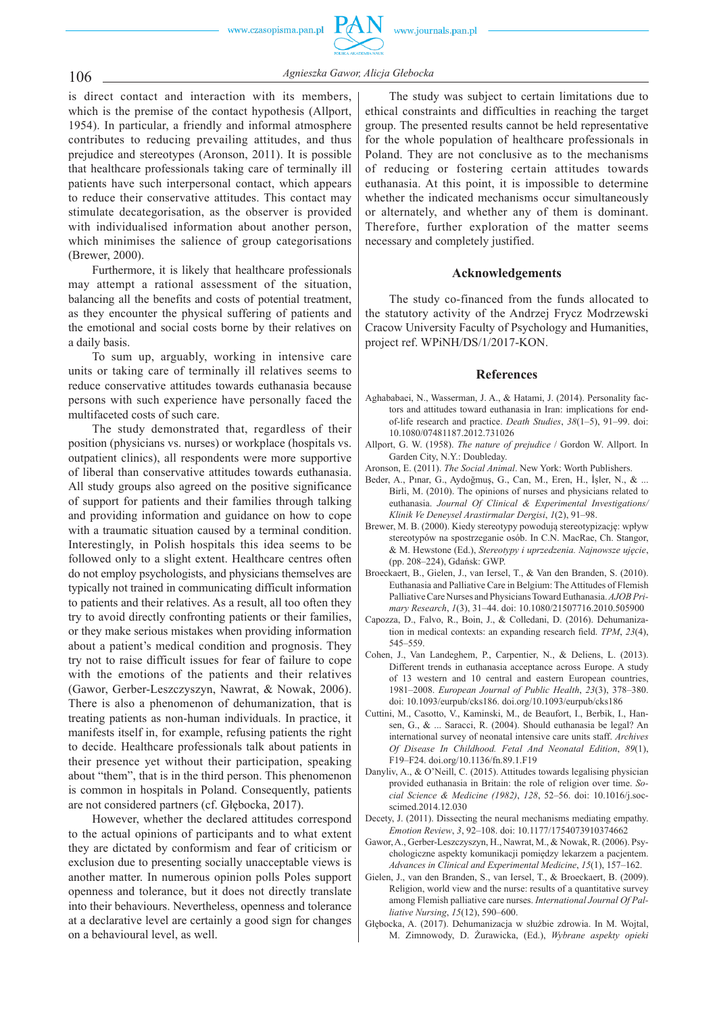106 *Agnieszka Gawor, Alicja Głebocka*

is direct contact and interaction with its members, which is the premise of the contact hypothesis (Allport, 1954). In particular, a friendly and informal atmosphere contributes to reducing prevailing attitudes, and thus prejudice and stereotypes (Aronson, 2011). It is possible that healthcare professionals taking care of terminally ill patients have such interpersonal contact, which appears to reduce their conservative attitudes. This contact may stimulate decategorisation, as the observer is provided with individualised information about another person, which minimises the salience of group categorisations (Brewer, 2000).

Furthermore, it is likely that healthcare professionals may attempt a rational assessment of the situation, balancing all the benefits and costs of potential treatment, as they encounter the physical suffering of patients and the emotional and social costs borne by their relatives on a daily basis.

To sum up, arguably, working in intensive care units or taking care of terminally ill relatives seems to reduce conservative attitudes towards euthanasia because persons with such experience have personally faced the multifaceted costs of such care.

The study demonstrated that, regardless of their position (physicians vs. nurses) or workplace (hospitals vs. outpatient clinics), all respondents were more supportive of liberal than conservative attitudes towards euthanasia. All study groups also agreed on the positive significance of support for patients and their families through talking and providing information and guidance on how to cope with a traumatic situation caused by a terminal condition. Interestingly, in Polish hospitals this idea seems to be followed only to a slight extent. Healthcare centres often do not employ psychologists, and physicians themselves are typically not trained in communicating difficult information to patients and their relatives. As a result, all too often they try to avoid directly confronting patients or their families, or they make serious mistakes when providing information about a patient's medical condition and prognosis. They try not to raise difficult issues for fear of failure to cope with the emotions of the patients and their relatives (Gawor, Gerber-Leszczyszyn, Nawrat, & Nowak, 2006). There is also a phenomenon of dehumanization, that is treating patients as non-human individuals. In practice, it manifests itself in, for example, refusing patients the right to decide. Healthcare professionals talk about patients in their presence yet without their participation, speaking about "them", that is in the third person. This phenomenon is common in hospitals in Poland. Consequently, patients are not considered partners (cf. Głębocka, 2017).

However, whether the declared attitudes correspond to the actual opinions of participants and to what extent they are dictated by conformism and fear of criticism or exclusion due to presenting socially unacceptable views is another matter. In numerous opinion polls Poles support openness and tolerance, but it does not directly translate into their behaviours. Nevertheless, openness and tolerance at a declarative level are certainly a good sign for changes on a behavioural level, as well.

The study was subject to certain limitations due to ethical constraints and difficulties in reaching the target group. The presented results cannot be held representative for the whole population of healthcare professionals in Poland. They are not conclusive as to the mechanisms of reducing or fostering certain attitudes towards euthanasia. At this point, it is impossible to determine whether the indicated mechanisms occur simultaneously or alternately, and whether any of them is dominant. Therefore, further exploration of the matter seems necessary and completely justified.

# **Acknowledgements**

The study co-financed from the funds allocated to the statutory activity of the Andrzej Frycz Modrzewski Cracow University Faculty of Psychology and Humanities, project ref. WPiNH/DS/1/2017-KON.

### **References**

- Aghababaei, N., Wasserman, J. A., & Hatami, J. (2014). Personality factors and attitudes toward euthanasia in Iran: implications for endof-life research and practice. *Death Studies*, *38*(1–5), 91–99. doi: 10.1080/07481187.2012.731026
- Allport, G. W. (1958). *The nature of prejudice* / Gordon W. Allport. In Garden City, N.Y.: Doubleday.
- Aronson, E. (2011). *The Social Animal*. New York: Worth Publishers.
- Beder, A., Pınar, G., Aydoğmuş, G., Can, M., Eren, H., İşler, N., & ... Birli, M. (2010). The opinions of nurses and physicians related to euthanasia. *Journal Of Clinical & Experimental Investigations/ Klinik Ve Deneysel Arastirmalar Dergisi*, *1*(2), 91–98.
- Brewer, M. B. (2000). Kiedy stereotypy powodują stereotypizację : wpływ stereotypów na spostrzeganie osób. In C.N. MacRae, Ch. Stangor, & M. Hewstone (Ed.), *Stereotypy i uprzedzenia. Najnowsze uję cie*, (pp. 208-224), Gdańsk: GWP.
- Broeckaert, B., Gielen, J., van Iersel, T., & Van den Branden, S. (2010). Euthanasia and Palliative Care in Belgium: The Attitudes of Flemish Palliative Care Nurses and Physicians Toward Euthanasia. *AJOB Primary Research*, *1*(3), 31–44. doi: 10.1080/21507716.2010.505900
- Capozza, D., Falvo, R., Boin, J., & Colledani, D. (2016). Dehumanization in medical contexts: an expanding research field. *TPM*, 23(4), 545–559.
- Cohen, J., Van Landeghem, P., Carpentier, N., & Deliens, L. (2013). Different trends in euthanasia acceptance across Europe. A study of 13 western and 10 central and eastern European countries, 1981–2008. *European Journal of Public Health*, *23*(3), 378–380. doi: 10.1093/eurpub/cks186. doi.org/10.1093/eurpub/cks186
- Cuttini, M., Casotto, V., Kaminski, M., de Beaufort, I., Berbik, I., Hansen, G., & ... Saracci, R. (2004). Should euthanasia be legal? An international survey of neonatal intensive care units staff. *Archives Of Disease In Childhood. Fetal And Neonatal Edition*, *89*(1), F19–F24. doi.org/10.1136/fn.89.1.F19
- Danyliv, A., & O'Neill, C. (2015). Attitudes towards legalising physician provided euthanasia in Britain: the role of religion over time. *Social Science & Medicine (1982)*, *128*, 52–56. doi: 10.1016/j.socscimed.2014.12.030
- Decety, J. (2011). Dissecting the neural mechanisms mediating empathy. *Emotion Review*, *3*, 92–108. doi: 10.1177/1754073910374662
- Gawor, A., Gerber-Leszczyszyn, H., Nawrat, M., & Nowak, R. (2006). Psychologiczne aspekty komunikacji pomiędzy lekarzem a pacjentem. *Advances in Clinical and Experimental Medicine*, *15*(1),157–162.
- Gielen, J., van den Branden, S., van Iersel, T., & Broeckaert, B. (2009). Religion, world view and the nurse: results of a quantitative survey among Flemish palliative care nurses. *International Journal Of Palliative Nursing*, *15*(12), 590–600.
- Głębocka, A. (2017). Dehumanizacja w służbie zdrowia. In M. Wojtal, M. Zimnowody, D. Żurawicka, (Ed.), *Wybrane aspekty opieki*